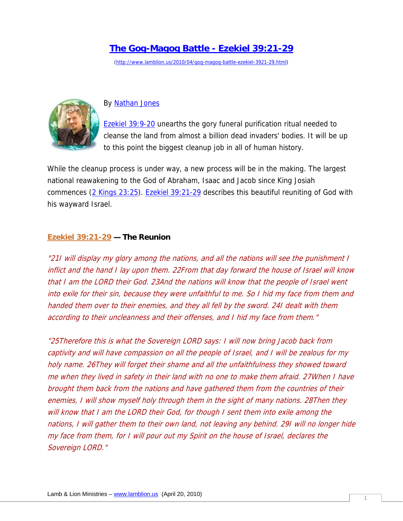## **[The Gog-Magog Battle - Ezekiel 39:21-29](http://www.lamblion.us/2010/04/gog-magog-battle-ezekiel-3921-29.html)**

(<http://www.lamblion.us/2010/04/gog-magog-battle-ezekiel-3921-29.html>)



## By [Nathan Jones](http://www.blogger.com/profile/05197853232887416443)

[Ezekiel 39:9-20](http://bible.logos.com/passage/niv/Ezekiel%2039.9-20) unearths the gory funeral purification ritual needed to cleanse the land from almost a billion dead invaders' bodies. It will be up to this point the biggest cleanup job in all of human history.

While the cleanup process is under way, a new process will be in the making. The largest national reawakening to the God of Abraham, Isaac and Jacob since King Josiah commences ([2 Kings 23:25\)](http://bible.logos.com/passage/niv/2%20Kings%2023.25). [Ezekiel 39:21-29](http://bible.logos.com/passage/niv/Ezekiel%2039.21-29) describes this beautiful reuniting of God with his wayward Israel.

## **[Ezekiel 39:21-29](http://bible.logos.com/passage/niv/Ezekiel%2039.21-29) — The Reunion**

"21I will display my glory among the nations, and all the nations will see the punishment I inflict and the hand I lay upon them. 22From that day forward the house of Israel will know that I am the LORD their God. 23And the nations will know that the people of Israel went into exile for their sin, because they were unfaithful to me. So I hid my face from them and handed them over to their enemies, and they all fell by the sword. 24I dealt with them according to their uncleanness and their offenses, and I hid my face from them."

"25Therefore this is what the Sovereign LORD says: I will now bring Jacob back from captivity and will have compassion on all the people of Israel, and I will be zealous for my holy name. 26They will forget their shame and all the unfaithfulness they showed toward me when they lived in safety in their land with no one to make them afraid. 27When I have brought them back from the nations and have gathered them from the countries of their enemies, I will show myself holy through them in the sight of many nations. 28Then they will know that I am the LORD their God, for though I sent them into exile among the nations, I will gather them to their own land, not leaving any behind. 29I will no longer hide my face from them, for I will pour out my Spirit on the house of Israel, declares the Sovereign LORD."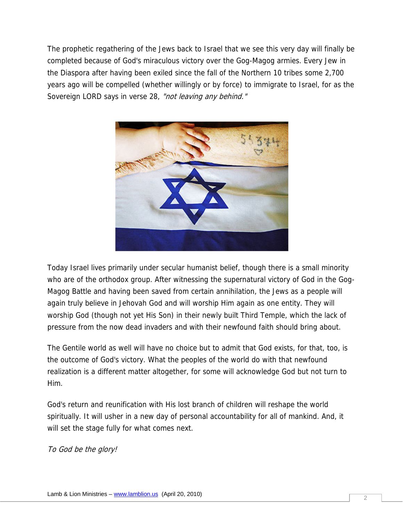The prophetic regathering of the Jews back to Israel that we see this very day will finally be completed because of God's miraculous victory over the Gog-Magog armies. Every Jew in the Diaspora after having been exiled since the fall of the Northern 10 tribes some 2,700 years ago will be compelled (whether willingly or by force) to immigrate to Israel, for as the Sovereign LORD says in verse 28, "not leaving any behind."



Today Israel lives primarily under secular humanist belief, though there is a small minority who are of the orthodox group. After witnessing the supernatural victory of God in the Gog-Magog Battle and having been saved from certain annihilation, the Jews as a people will again truly believe in Jehovah God and will worship Him again as one entity. They will worship God (though not yet His Son) in their newly built Third Temple, which the lack of pressure from the now dead invaders and with their newfound faith should bring about.

The Gentile world as well will have no choice but to admit that God exists, for that, too, is the outcome of God's victory. What the peoples of the world do with that newfound realization is a different matter altogether, for some will acknowledge God but not turn to Him.

God's return and reunification with His lost branch of children will reshape the world spiritually. It will usher in a new day of personal accountability for all of mankind. And, it will set the stage fully for what comes next.

To God be the glory!